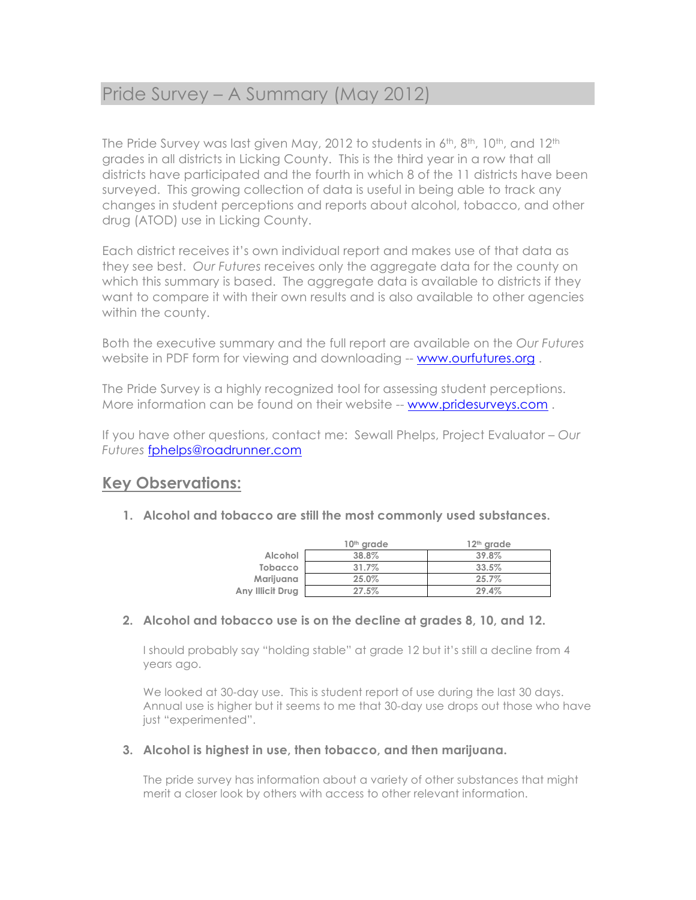# Pride Survey – A Summary (May 2012)

The Pride Survey was last given May, 2012 to students in  $6<sup>th</sup>$ ,  $8<sup>th</sup>$ , 10<sup>th</sup>, and 12<sup>th</sup> grades in all districts in Licking County. This is the third year in a row that all districts have participated and the fourth in which 8 of the 11 districts have been surveyed. This growing collection of data is useful in being able to track any changes in student perceptions and reports about alcohol, tobacco, and other drug (ATOD) use in Licking County.

Each district receives it's own individual report and makes use of that data as they see best. *Our Futures* receives only the aggregate data for the county on which this summary is based. The aggregate data is available to districts if they want to compare it with their own results and is also available to other agencies within the county.

Both the executive summary and the full report are available on the *Our Futures* website in PDF form for viewing and downloading -- www.ourfutures.org.

The Pride Survey is a highly recognized tool for assessing student perceptions. More information can be found on their website -- www.pridesurveys.com.

If you have other questions, contact me: Sewall Phelps, Project Evaluator – *Our Futures* fphelps@roadrunner.com

### **Key Observations:**

**1. Alcohol and tobacco are still the most commonly used substances.**

|                  | 10 <sup>th</sup> grade | $12th$ grade |
|------------------|------------------------|--------------|
| Alcohol          | 38.8%                  | 39.8%        |
| <b>Tobacco</b>   | 31.7%                  | 33.5%        |
| Marijuana        | 25.0%                  | 25.7%        |
| Any Illicit Drug | 27.5%                  | 29.4%        |

#### **2. Alcohol and tobacco use is on the decline at grades 8, 10, and 12.**

I should probably say "holding stable" at grade 12 but it's still a decline from 4 years ago.

We looked at 30-day use. This is student report of use during the last 30 days. Annual use is higher but it seems to me that 30-day use drops out those who have just "experimented".

#### **3. Alcohol is highest in use, then tobacco, and then marijuana.**

The pride survey has information about a variety of other substances that might merit a closer look by others with access to other relevant information.